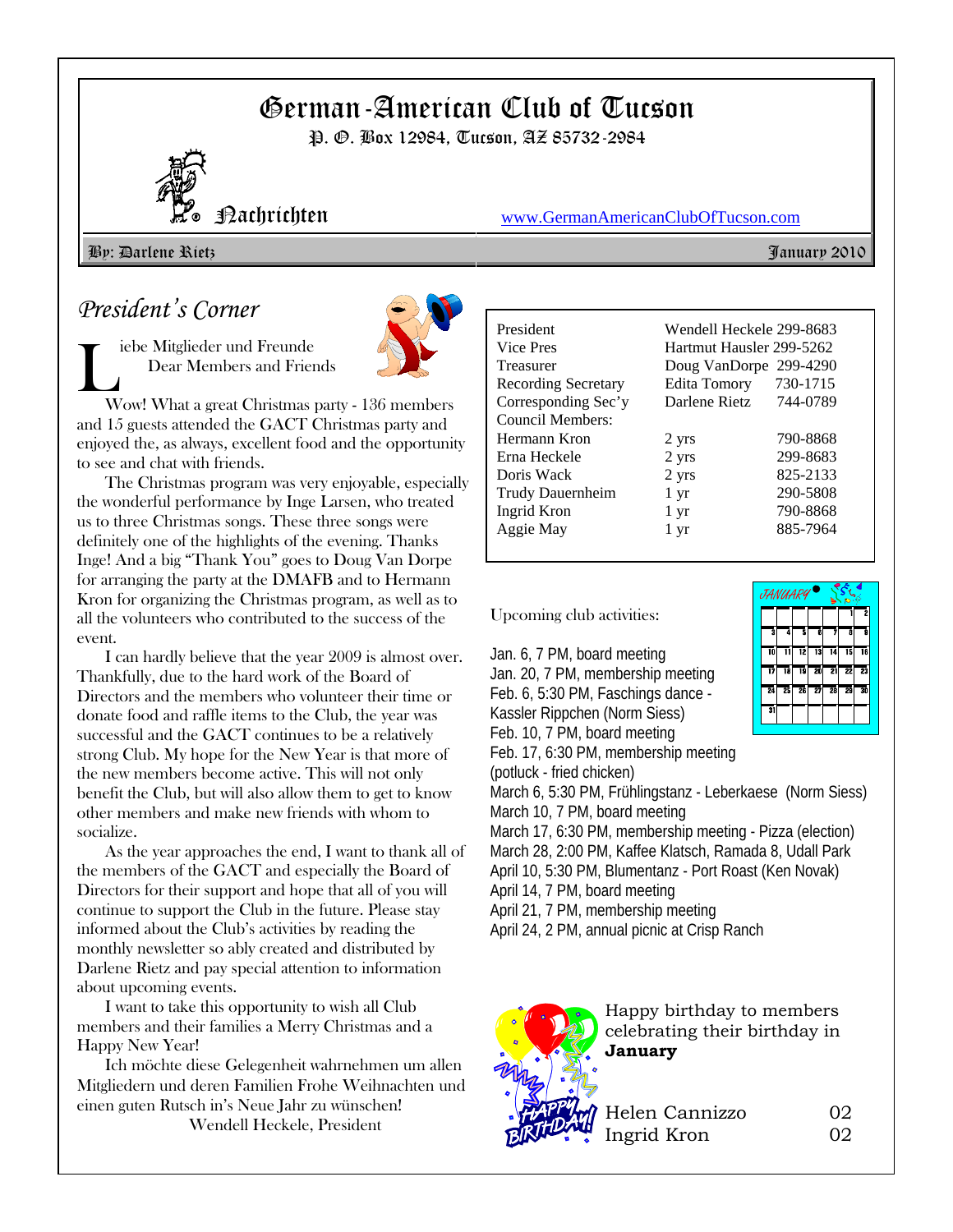# German-American Club of Tucson

P. *D. Box 12984, Tucson, AZ 85732-2984* 



Nachrichten www.GermanAmericanClubOfTucson.com

By: Darlene Rietz January 2010

## *President's Corner*

iebe Mitglieder und Freunde Dear Members and Friends



Wow! What a great Christmas party - 136 members and 15 guests attended the GACT Christmas party and enjoyed the, as always, excellent food and the opportunity to see and chat with friends.

The Christmas program was very enjoyable, especially the wonderful performance by Inge Larsen, who treated us to three Christmas songs. These three songs were definitely one of the highlights of the evening. Thanks Inge! And a big "Thank You" goes to Doug Van Dorpe for arranging the party at the DMAFB and to Hermann Kron for organizing the Christmas program, as well as to all the volunteers who contributed to the success of the event.

I can hardly believe that the year 2009 is almost over. Thankfully, due to the hard work of the Board of Directors and the members who volunteer their time or donate food and raffle items to the Club, the year was successful and the GACT continues to be a relatively strong Club. My hope for the New Year is that more of the new members become active. This will not only benefit the Club, but will also allow them to get to know other members and make new friends with whom to socialize.

As the year approaches the end, I want to thank all of the members of the GACT and especially the Board of Directors for their support and hope that all of you will continue to support the Club in the future. Please stay informed about the Club's activities by reading the monthly newsletter so ably created and distributed by Darlene Rietz and pay special attention to information about upcoming events.

I want to take this opportunity to wish all Club members and their families a Merry Christmas and a Happy New Year!

Ich möchte diese Gelegenheit wahrnehmen um allen Mitgliedern und deren Familien Frohe Weihnachten und einen guten Rutsch in's Neue Jahr zu wünschen!

Wendell Heckele, President

| President           | Wendell Heckele 299-8683 |          |
|---------------------|--------------------------|----------|
|                     |                          |          |
| Vice Pres           | Hartmut Hausler 299-5262 |          |
| Treasurer           | Doug VanDorpe 299-4290   |          |
| Recording Secretary | Edita Tomory             | 730-1715 |
| Corresponding Sec'y | Darlene Rietz            | 744-0789 |
| Council Members:    |                          |          |
| Hermann Kron        | 2 yrs                    | 790-8868 |
| Erna Heckele        | 2 yrs                    | 299-8683 |
| Doris Wack          | 2 yrs                    | 825-2133 |
| Trudy Dauernheim    | 1 yr                     | 290-5808 |
| Ingrid Kron         | $1 \, yr$                | 790-8868 |
| Aggie May           | 1 yr                     | 885-7964 |
|                     |                          |          |

Upcoming club activities:

Jan. 6, 7 PM, board meeting Jan. 20, 7 PM, membership meeting Feb. 6, 5:30 PM, Faschings dance - Kassler Rippchen (Norm Siess) Feb. 10, 7 PM, board meeting Feb. 17, 6:30 PM, membership meeting (potluck - fried chicken) March 6, 5:30 PM, Frühlingstanz - Leberkaese (Norm Siess) March 10, 7 PM, board meeting March 17, 6:30 PM, membership meeting - Pizza (election) March 28, 2:00 PM, Kaffee Klatsch, Ramada 8, Udall Park April 10, 5:30 PM, Blumentanz - Port Roast (Ken Novak) April 14, 7 PM, board meeting April 21, 7 PM, membership meeting April 24, 2 PM, annual picnic at Crisp Ranch



Happy birthday to members celebrating their birthday in **January**

Helen Cannizzo 02 Ingrid Kron 02